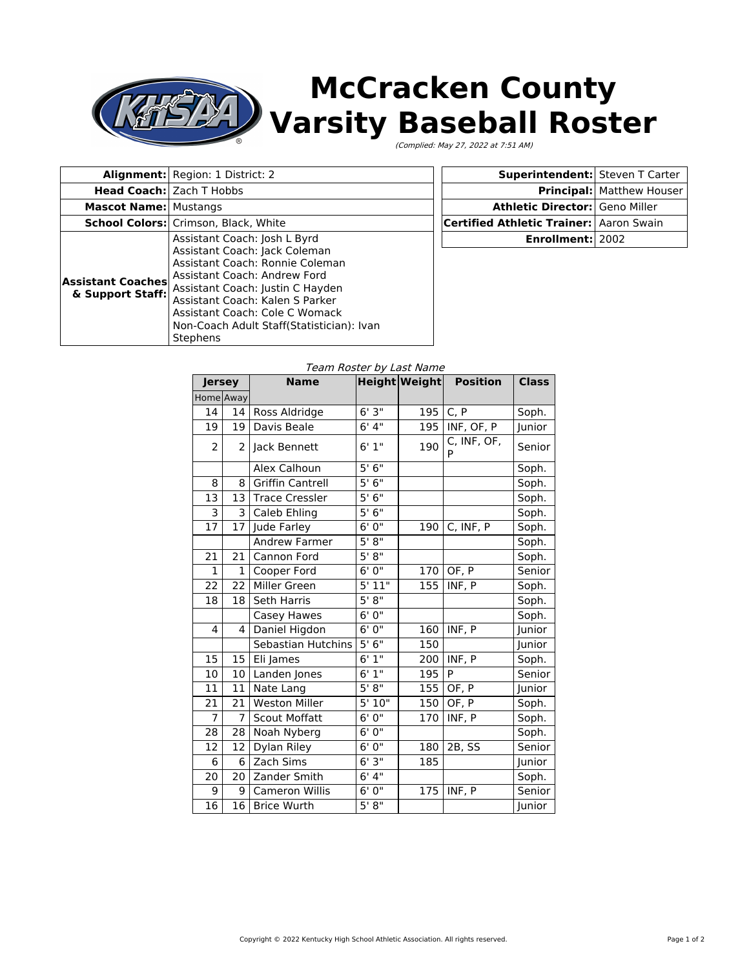## **McCracken County** ŊД **Varsity Baseball Roster**

(Complied: May 27, 2022 at 7:51 AM)

|                                              | <b>Alignment:</b> Region: 1 District: 2                                                                                                                                                                                                                                                            | Superintendent: Steven T Carter         |                                  |
|----------------------------------------------|----------------------------------------------------------------------------------------------------------------------------------------------------------------------------------------------------------------------------------------------------------------------------------------------------|-----------------------------------------|----------------------------------|
|                                              | <b>Head Coach:</b> Zach T Hobbs                                                                                                                                                                                                                                                                    |                                         | <b>Principal:</b> Matthew Houser |
| <b>Mascot Name: Mustangs</b>                 |                                                                                                                                                                                                                                                                                                    | <b>Athletic Director: Geno Miller</b>   |                                  |
|                                              | School Colors: Crimson, Black, White                                                                                                                                                                                                                                                               | Certified Athletic Trainer: Aaron Swain |                                  |
| <b>Assistant Coaches</b><br>& Support Staff: | Assistant Coach: Josh L Byrd<br>Assistant Coach: Jack Coleman<br>Assistant Coach: Ronnie Coleman<br>Assistant Coach: Andrew Ford<br>Assistant Coach: Justin C Hayden<br>Assistant Coach: Kalen S Parker<br>Assistant Coach: Cole C Womack<br>Non-Coach Adult Staff(Statistician): Ivan<br>Stephens | <b>Enrollment: 2002</b>                 |                                  |

## Team Roster by Last Name

| <b>Jersey</b> |              | <b>Name</b>               |        | <b>Height Weight</b> | <b>Position</b>  | <b>Class</b> |
|---------------|--------------|---------------------------|--------|----------------------|------------------|--------------|
| Home Away     |              |                           |        |                      |                  |              |
| 14            | 14           | Ross Aldridge             | 6'3''  | 195                  | C, P             | Soph.        |
| 19            | 19           | Davis Beale               | 6' 4'' | 195                  | INF, OF, P       | Junior       |
| 2             | 2            | Jack Bennett              | 6'1''  | 190                  | C, INF, OF,<br>P | Senior       |
|               |              | Alex Calhoun              | 5'6''  |                      |                  | Soph.        |
| 8             | 8            | <b>Griffin Cantrell</b>   | 5'6''  |                      |                  | Soph.        |
| 13            | 13           | <b>Trace Cressler</b>     | 5'6''  |                      |                  | Soph.        |
| 3             | 3            | Caleb Ehling              | 5'6''  |                      |                  | Soph.        |
| 17            | 17           | Jude Farley               | 6'0''  | 190                  | C, INF, P        | Soph.        |
|               |              | <b>Andrew Farmer</b>      | 5' 8'' |                      |                  | Soph.        |
| 21            | 21           | Cannon Ford               | 5' 8'' |                      |                  | Soph.        |
| 1             | $\mathbf{1}$ | Cooper Ford               | 6'0''  | 170                  | OF, P            | Senior       |
| 22            | 22           | Miller Green              | 5'11"  | 155                  | INF, P           | Soph.        |
| 18            | 18           | <b>Seth Harris</b>        | 5'8''  |                      |                  | Soph.        |
|               |              | Casey Hawes               | 6'0''  |                      |                  | Soph.        |
| 4             | 4            | Daniel Higdon             | 6'0''  | 160                  | INF, P           | Junior       |
|               |              | <b>Sebastian Hutchins</b> | 5'6''  | 150                  |                  | Junior       |
| 15            | 15           | Eli James                 | 6'1''  | 200                  | INF, P           | Soph.        |
| 10            | 10           | Landen Jones              | 6'1''  | 195                  | P                | Senior       |
| 11            | 11           | Nate Lang                 | 5' 8'' | 155                  | OF, P            | Junior       |
| 21            | 21           | <b>Weston Miller</b>      | 5'10"  | 150                  | OF, P            | Soph.        |
| 7             | 7            | <b>Scout Moffatt</b>      | 6'0''  | 170                  | INF, P           | Soph.        |
| 28            | 28           | Noah Nyberg               | 6'0''  |                      |                  | Soph.        |
| 12            | 12           | Dylan Riley               | 6'0''  | 180                  | 2B, SS           | Senior       |
| 6             | 6            | Zach Sims                 | 6'3''  | 185                  |                  | Junior       |
| 20            | 20           | Zander Smith              | 6'4''  |                      |                  | Soph.        |
| 9             | 9            | <b>Cameron Willis</b>     | 6'0''  | 175                  | INF, P           | Senior       |
| 16            | 16           | <b>Brice Wurth</b>        | 5' 8'' |                      |                  | Junior       |